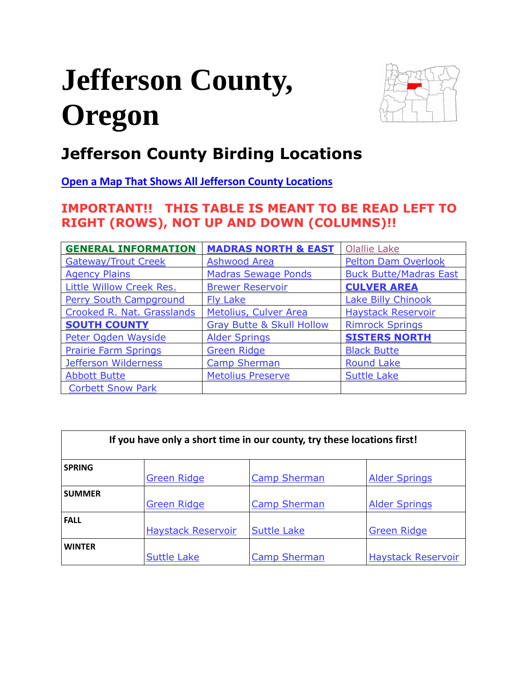# <span id="page-0-0"></span>**Jefferson County, Oregon**



# **Jefferson County Birding Locations**

**[Open a Map That Shows All Jefferson County Locations](https://www.google.com/maps/d/edit?mid=zVl1oTDALjf4.k9EezWT7bxAs&usp=sharing)**

# **IMPORTANT!! THIS TABLE IS MEANT TO BE READ LEFT TO RIGHT (ROWS), NOT UP AND DOWN (COLUMNS)!!**

| <b>GENERAL INFORMATION</b>      | <b>MADRAS NORTH &amp; EAST</b>       | <b>Olallie Lake</b>           |
|---------------------------------|--------------------------------------|-------------------------------|
| <b>Gateway/Trout Creek</b>      | <b>Ashwood Area</b>                  | <b>Pelton Dam Overlook</b>    |
| <b>Agency Plains</b>            | <b>Madras Sewage Ponds</b>           | <b>Buck Butte/Madras East</b> |
| <b>Little Willow Creek Res.</b> | <b>Brewer Reservoir</b>              | <b>CULVER AREA</b>            |
| <b>Perry South Campground</b>   | <b>Fly Lake</b>                      | <b>Lake Billy Chinook</b>     |
| Crooked R. Nat. Grasslands      | Metolius, Culver Area                | <b>Haystack Reservoir</b>     |
| <b>SOUTH COUNTY</b>             | <b>Gray Butte &amp; Skull Hollow</b> | <b>Rimrock Springs</b>        |
| Peter Ogden Wayside             | <b>Alder Springs</b>                 | <b>SISTERS NORTH</b>          |
| <b>Prairie Farm Springs</b>     | <b>Green Ridge</b>                   | <b>Black Butte</b>            |
| Jefferson Wilderness            | <b>Camp Sherman</b>                  | <b>Round Lake</b>             |
| <b>Abbott Butte</b>             | <b>Metolius Preserve</b>             | <b>Suttle Lake</b>            |
| <b>Corbett Snow Park</b>        |                                      |                               |

| If you have only a short time in our county, try these locations first! |                           |                     |                           |  |
|-------------------------------------------------------------------------|---------------------------|---------------------|---------------------------|--|
| <b>SPRING</b>                                                           | <b>Green Ridge</b>        | <b>Camp Sherman</b> | <b>Alder Springs</b>      |  |
| <b>SUMMER</b>                                                           | <b>Green Ridge</b>        | <b>Camp Sherman</b> | <b>Alder Springs</b>      |  |
| <b>FALL</b>                                                             | <b>Haystack Reservoir</b> | <b>Suttle Lake</b>  | <b>Green Ridge</b>        |  |
| <b>WINTER</b>                                                           | <b>Suttle Lake</b>        | <b>Camp Sherman</b> | <b>Haystack Reservoir</b> |  |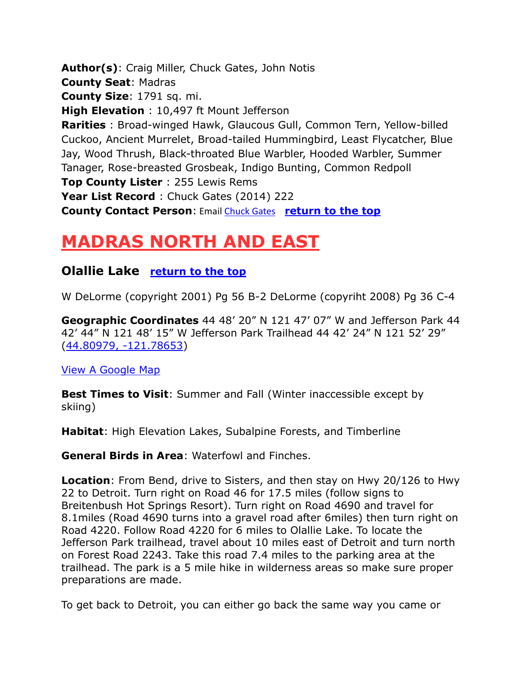**Author(s)**: Craig Miller, Chuck Gates, John Notis **County Seat**: Madras **County Size**: 1791 sq. mi. **High Elevation** : 10,497 ft Mount Jefferson **Rarities** : Broad-winged Hawk, Glaucous Gull, Common Tern, Yellow-billed Cuckoo, Ancient Murrelet, Broad-tailed Hummingbird, Least Flycatcher, Blue Jay, Wood Thrush, Black-throated Blue Warbler, Hooded Warbler, Summer Tanager, Rose-breasted Grosbeak, Indigo Bunting, Common Redpoll **Top County Lister** : 255 Lewis Rems Year List Record : Chuck Gates (2014) 222 **County Contact Person**: Email [Chuck Gates](mailto:cgates326@gmail.com) **[return to the top](#page-0-0)**

# <span id="page-1-0"></span>**MADRAS NORTH AND EAST**

# <span id="page-1-1"></span>**Olallie Lake [return to the top](#page-0-0)**

W DeLorme (copyright 2001) Pg 56 B-2 DeLorme (copyriht 2008) Pg 36 C-4

**Geographic Coordinates** 44 48' 20" N 121 47' 07" W and Jefferson Park 44 42' 44" N 121 48' 15" W Jefferson Park Trailhead 44 42' 24" N 121 52' 29" [\(44.80979, -121.78653\)](https://www.google.com/maps/place/44°48)

[View A Google Map](http://maps.google.com/maps/ms?hl=en&ie=UTF8&msa=0&msid=108036481085398338899.000463753ae4e737ff6a1&ll=44.746002,-121.982231&spn=0.401849,1.054688&z=11http://)

**Best Times to Visit:** Summer and Fall (Winter inaccessible except by skiing)

**Habitat**: High Elevation Lakes, Subalpine Forests, and Timberline

**General Birds in Area**: Waterfowl and Finches.

**Location**: From Bend, drive to Sisters, and then stay on Hwy 20/126 to Hwy 22 to Detroit. Turn right on Road 46 for 17.5 miles (follow signs to Breitenbush Hot Springs Resort). Turn right on Road 4690 and travel for 8.1miles (Road 4690 turns into a gravel road after 6miles) then turn right on Road 4220. Follow Road 4220 for 6 miles to Olallie Lake. To locate the Jefferson Park trailhead, travel about 10 miles east of Detroit and turn north on Forest Road 2243. Take this road 7.4 miles to the parking area at the trailhead. The park is a 5 mile hike in wilderness areas so make sure proper preparations are made.

To get back to Detroit, you can either go back the same way you came or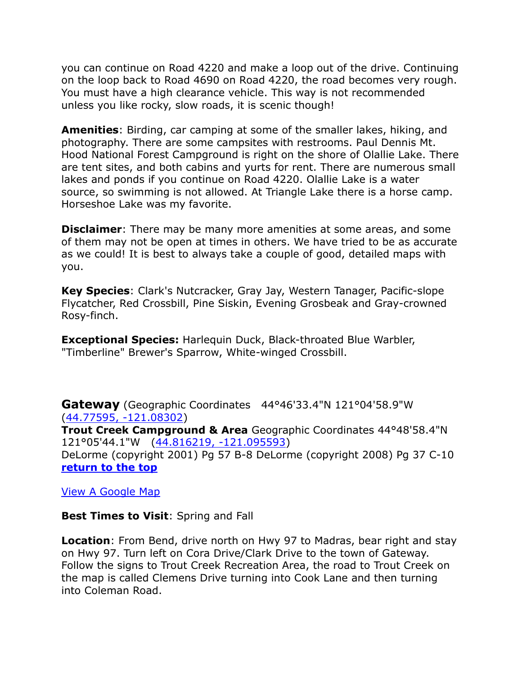you can continue on Road 4220 and make a loop out of the drive. Continuing on the loop back to Road 4690 on Road 4220, the road becomes very rough. You must have a high clearance vehicle. This way is not recommended unless you like rocky, slow roads, it is scenic though!

**Amenities**: Birding, car camping at some of the smaller lakes, hiking, and photography. There are some campsites with restrooms. Paul Dennis Mt. Hood National Forest Campground is right on the shore of Olallie Lake. There are tent sites, and both cabins and yurts for rent. There are numerous small lakes and ponds if you continue on Road 4220. Olallie Lake is a water source, so swimming is not allowed. At Triangle Lake there is a horse camp. Horseshoe Lake was my favorite.

**Disclaimer**: There may be many more amenities at some areas, and some of them may not be open at times in others. We have tried to be as accurate as we could! It is best to always take a couple of good, detailed maps with you.

**Key Species**: Clark's Nutcracker, Gray Jay, Western Tanager, Pacific-slope Flycatcher, Red Crossbill, Pine Siskin, Evening Grosbeak and Gray-crowned Rosy-finch.

**Exceptional Species:** Harlequin Duck, Black-throated Blue Warbler, "Timberline" Brewer's Sparrow, White-winged Crossbill.

<span id="page-2-0"></span>**Gateway** (Geographic Coordinates 44°46'33.4"N 121°04'58.9"W [\(44.77595, -121.08302\)](https://www.google.com/maps/place/44°46) **Trout Creek Campground & Area** Geographic Coordinates 44°48'58.4"N 121°05'44.1"W [\(44.816219, -121.095593\)](https://www.google.com/maps/place/44°48) DeLorme (copyright 2001) Pg 57 B-8 DeLorme (copyright 2008) Pg 37 C-10 **[return to the top](#page-0-0)**

[View A Google Map](https://drive.google.com/open?id=1XpJFAEflTa3V48STyO5_jj1fFm4&usp=sharing)

**Best Times to Visit**: Spring and Fall

**Location**: From Bend, drive north on Hwy 97 to Madras, bear right and stay on Hwy 97. Turn left on Cora Drive/Clark Drive to the town of Gateway. Follow the signs to Trout Creek Recreation Area, the road to Trout Creek on the map is called Clemens Drive turning into Cook Lane and then turning into Coleman Road.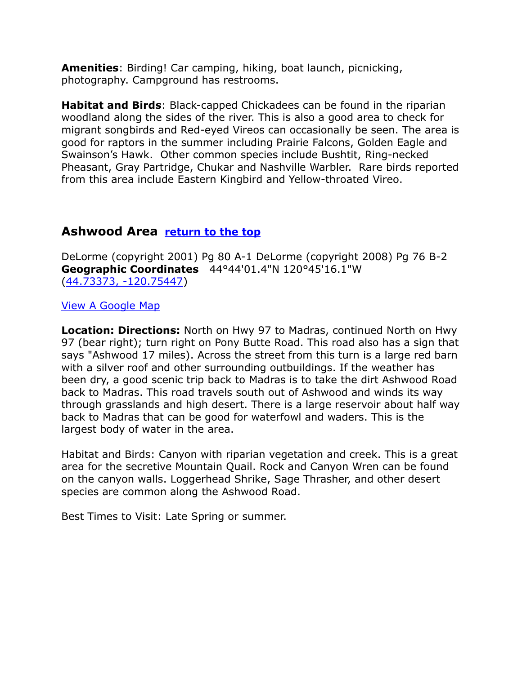**Amenities**: Birding! Car camping, hiking, boat launch, picnicking, photography. Campground has restrooms.

**Habitat and Birds**: Black-capped Chickadees can be found in the riparian woodland along the sides of the river. This is also a good area to check for migrant songbirds and Red-eyed Vireos can occasionally be seen. The area is good for raptors in the summer including Prairie Falcons, Golden Eagle and Swainson's Hawk. Other common species include Bushtit, Ring-necked Pheasant, Gray Partridge, Chukar and Nashville Warbler. Rare birds reported from this area include Eastern Kingbird and Yellow-throated Vireo.

#### <span id="page-3-0"></span>**Ashwood Area [return to the top](#page-0-0)**

DeLorme (copyright 2001) Pg 80 A-1 DeLorme (copyright 2008) Pg 76 B-2 **Geographic Coordinates** 44°44'01.4"N 120°45'16.1"W [\(44.73373, -120.75447\)](https://www.google.com/maps/place/44°44)

#### [View A Google Map](https://drive.google.com/open?id=1XpJFAEflTa3V48STyO5_jj1fFm4&usp=sharing)

**Location: Directions:** North on Hwy 97 to Madras, continued North on Hwy 97 (bear right); turn right on Pony Butte Road. This road also has a sign that says "Ashwood 17 miles). Across the street from this turn is a large red barn with a silver roof and other surrounding outbuildings. If the weather has been dry, a good scenic trip back to Madras is to take the dirt Ashwood Road back to Madras. This road travels south out of Ashwood and winds its way through grasslands and high desert. There is a large reservoir about half way back to Madras that can be good for waterfowl and waders. This is the largest body of water in the area.

Habitat and Birds: Canyon with riparian vegetation and creek. This is a great area for the secretive Mountain Quail. Rock and Canyon Wren can be found on the canyon walls. Loggerhead Shrike, Sage Thrasher, and other desert species are common along the Ashwood Road.

Best Times to Visit: Late Spring or summer.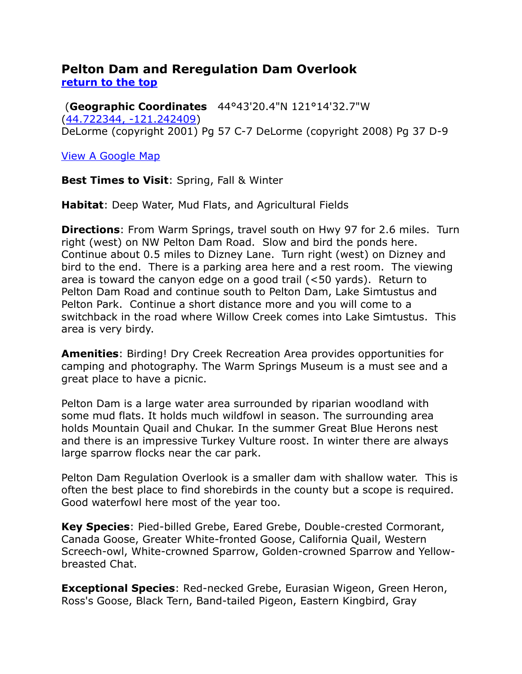#### <span id="page-4-0"></span>**Pelton Dam and Reregulation Dam Overlook [return to the top](#page-0-0)**

(**Geographic Coordinates** 44°43'20.4"N 121°14'32.7"W [\(44.722344, -121.242409\)](https://www.google.com/maps/place/44°43) DeLorme (copyright 2001) Pg 57 C-7 DeLorme (copyright 2008) Pg 37 D-9

[View A Google Map](https://drive.google.com/open?id=1XpJFAEflTa3V48STyO5_jj1fFm4&usp=sharing)

**Best Times to Visit**: Spring, Fall & Winter

**Habitat**: Deep Water, Mud Flats, and Agricultural Fields

**Directions**: From Warm Springs, travel south on Hwy 97 for 2.6 miles. Turn right (west) on NW Pelton Dam Road. Slow and bird the ponds here. Continue about 0.5 miles to Dizney Lane. Turn right (west) on Dizney and bird to the end. There is a parking area here and a rest room. The viewing area is toward the canyon edge on a good trail (<50 yards). Return to Pelton Dam Road and continue south to Pelton Dam, Lake Simtustus and Pelton Park. Continue a short distance more and you will come to a switchback in the road where Willow Creek comes into Lake Simtustus. This area is very birdy.

**Amenities**: Birding! Dry Creek Recreation Area provides opportunities for camping and photography. The Warm Springs Museum is a must see and a great place to have a picnic.

Pelton Dam is a large water area surrounded by riparian woodland with some mud flats. It holds much wildfowl in season. The surrounding area holds Mountain Quail and Chukar. In the summer Great Blue Herons nest and there is an impressive Turkey Vulture roost. In winter there are always large sparrow flocks near the car park.

Pelton Dam Regulation Overlook is a smaller dam with shallow water. This is often the best place to find shorebirds in the county but a scope is required. Good waterfowl here most of the year too.

**Key Species**: Pied-billed Grebe, Eared Grebe, Double-crested Cormorant, Canada Goose, Greater White-fronted Goose, California Quail, Western Screech-owl, White-crowned Sparrow, Golden-crowned Sparrow and Yellowbreasted Chat.

**Exceptional Species**: Red-necked Grebe, Eurasian Wigeon, Green Heron, Ross's Goose, Black Tern, Band-tailed Pigeon, Eastern Kingbird, Gray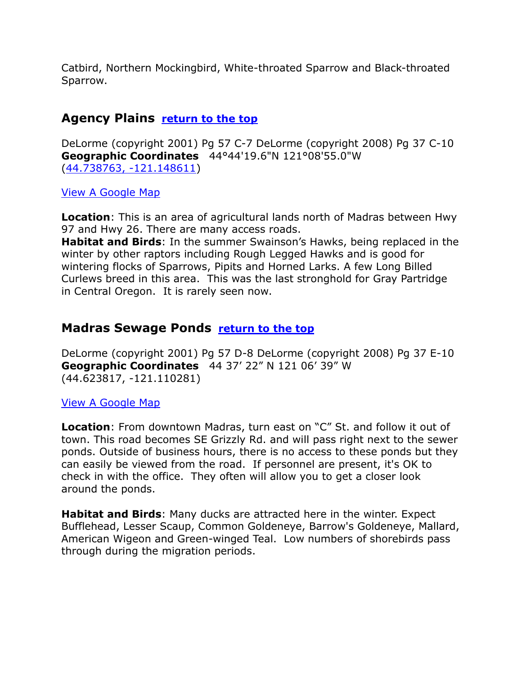Catbird, Northern Mockingbird, White-throated Sparrow and Black-throated Sparrow.

# <span id="page-5-0"></span>**Agency Plains [return to the top](#page-0-0)**

DeLorme (copyright 2001) Pg 57 C-7 DeLorme (copyright 2008) Pg 37 C-10 **Geographic Coordinates** 44°44'19.6"N 121°08'55.0"W [\(44.738763, -121.148611\)](https://www.google.com/maps/place/44°44)

[View A Google Map](https://drive.google.com/open?id=1XpJFAEflTa3V48STyO5_jj1fFm4&usp=sharing)

**Location**: This is an area of agricultural lands north of Madras between Hwy 97 and Hwy 26. There are many access roads.

**Habitat and Birds**: In the summer Swainson's Hawks, being replaced in the winter by other raptors including Rough Legged Hawks and is good for wintering flocks of Sparrows, Pipits and Horned Larks. A few Long Billed Curlews breed in this area. This was the last stronghold for Gray Partridge in Central Oregon. It is rarely seen now.

# <span id="page-5-1"></span>**Madras Sewage Ponds [return to the top](#page-0-0)**

DeLorme (copyright 2001) Pg 57 D-8 DeLorme (copyright 2008) Pg 37 E-10 **Geographic Coordinates** 44 37' 22" N 121 06' 39" W (44.623817, -121.110281)

#### [View A Google Map](https://drive.google.com/open?id=1KcCWFD_ehG-jOROC0nqQpcOLc3c&usp=sharing)

**Location**: From downtown Madras, turn east on "C" St. and follow it out of town. This road becomes SE Grizzly Rd. and will pass right next to the sewer ponds. Outside of business hours, there is no access to these ponds but they can easily be viewed from the road. If personnel are present, it's OK to check in with the office. They often will allow you to get a closer look around the ponds.

**Habitat and Birds**: Many ducks are attracted here in the winter. Expect Bufflehead, Lesser Scaup, Common Goldeneye, Barrow's Goldeneye, Mallard, American Wigeon and Green-winged Teal. Low numbers of shorebirds pass through during the migration periods.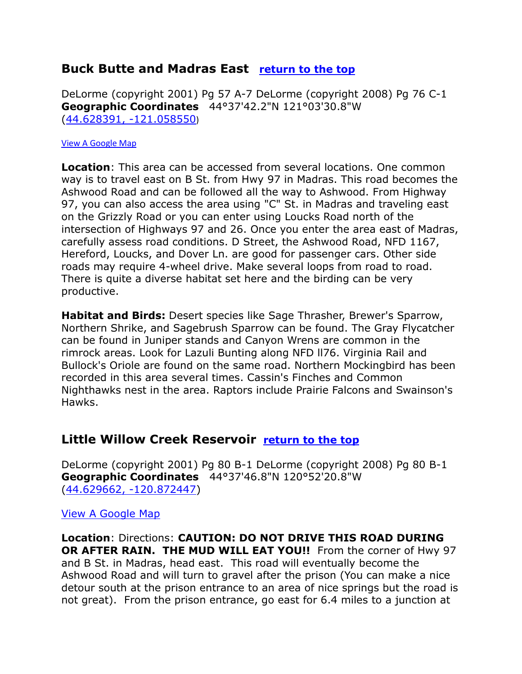# <span id="page-6-0"></span>**Buck Butte and Madras East [return to the top](#page-0-0)**

DeLorme (copyright 2001) Pg 57 A-7 DeLorme (copyright 2008) Pg 76 C-1 **Geographic Coordinates** 44°37'42.2"N 121°03'30.8"W [\(44.628391, -121.058550](https://www.google.com/maps/place/44°37))

#### [View A Google Map](https://drive.google.com/open?id=1KcCWFD_ehG-jOROC0nqQpcOLc3c&usp=sharing)

**Location**: This area can be accessed from several locations. One common way is to travel east on B St. from Hwy 97 in Madras. This road becomes the Ashwood Road and can be followed all the way to Ashwood. From Highway 97, you can also access the area using "C" St. in Madras and traveling east on the Grizzly Road or you can enter using Loucks Road north of the intersection of Highways 97 and 26. Once you enter the area east of Madras, carefully assess road conditions. D Street, the Ashwood Road, NFD 1167, Hereford, Loucks, and Dover Ln. are good for passenger cars. Other side roads may require 4-wheel drive. Make several loops from road to road. There is quite a diverse habitat set here and the birding can be very productive.

**Habitat and Birds:** Desert species like Sage Thrasher, Brewer's Sparrow, Northern Shrike, and Sagebrush Sparrow can be found. The Gray Flycatcher can be found in Juniper stands and Canyon Wrens are common in the rimrock areas. Look for Lazuli Bunting along NFD ll76. Virginia Rail and Bullock's Oriole are found on the same road. Northern Mockingbird has been recorded in this area several times. Cassin's Finches and Common Nighthawks nest in the area. Raptors include Prairie Falcons and Swainson's Hawks.

#### <span id="page-6-1"></span>**Little Willow Creek Reservoir [return to the top](#page-0-0)**

DeLorme (copyright 2001) Pg 80 B-1 DeLorme (copyright 2008) Pg 80 B-1 **Geographic Coordinates** 44°37'46.8"N 120°52'20.8"W [\(44.629662, -120.872447\)](https://www.google.com/maps/place/44°37)

[View A Google Map](https://drive.google.com/open?id=1KcCWFD_ehG-jOROC0nqQpcOLc3c&usp=sharing)

**Location**: Directions: **CAUTION: DO NOT DRIVE THIS ROAD DURING OR AFTER RAIN. THE MUD WILL EAT YOU!!** From the corner of Hwy 97 and B St. in Madras, head east. This road will eventually become the Ashwood Road and will turn to gravel after the prison (You can make a nice detour south at the prison entrance to an area of nice springs but the road is not great). From the prison entrance, go east for 6.4 miles to a junction at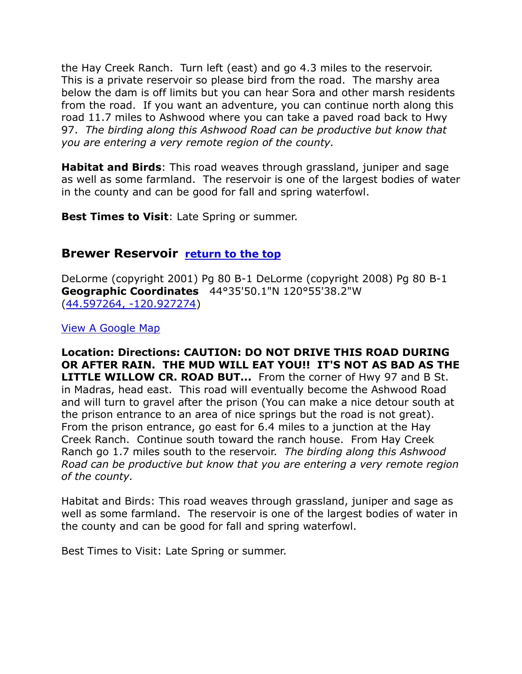the Hay Creek Ranch. Turn left (east) and go 4.3 miles to the reservoir. This is a private reservoir so please bird from the road. The marshy area below the dam is off limits but you can hear Sora and other marsh residents from the road. If you want an adventure, you can continue north along this road 11.7 miles to Ashwood where you can take a paved road back to Hwy 97. *The birding along this Ashwood Road can be productive but know that you are entering a very remote region of the county.*

**Habitat and Birds**: This road weaves through grassland, juniper and sage as well as some farmland. The reservoir is one of the largest bodies of water in the county and can be good for fall and spring waterfowl.

**Best Times to Visit**: Late Spring or summer.

# <span id="page-7-0"></span>**Brewer Reservoir [return to the top](#page-0-0)**

DeLorme (copyright 2001) Pg 80 B-1 DeLorme (copyright 2008) Pg 80 B-1 **Geographic Coordinates** 44°35'50.1"N 120°55'38.2"W [\(44.597264, -120.927274\)](https://www.google.com/maps/place/44°35)

[View A Google Map](https://drive.google.com/open?id=1KcCWFD_ehG-jOROC0nqQpcOLc3c&usp=sharing)

**Location: Directions: CAUTION: DO NOT DRIVE THIS ROAD DURING OR AFTER RAIN. THE MUD WILL EAT YOU!! IT'S NOT AS BAD AS THE LITTLE WILLOW CR. ROAD BUT...** From the corner of Hwy 97 and B St. in Madras, head east. This road will eventually become the Ashwood Road and will turn to gravel after the prison (You can make a nice detour south at the prison entrance to an area of nice springs but the road is not great). From the prison entrance, go east for 6.4 miles to a junction at the Hay Creek Ranch. Continue south toward the ranch house. From Hay Creek Ranch go 1.7 miles south to the reservoir. *The birding along this Ashwood Road can be productive but know that you are entering a very remote region of the county.*

Habitat and Birds: This road weaves through grassland, juniper and sage as well as some farmland. The reservoir is one of the largest bodies of water in the county and can be good for fall and spring waterfowl.

Best Times to Visit: Late Spring or summer.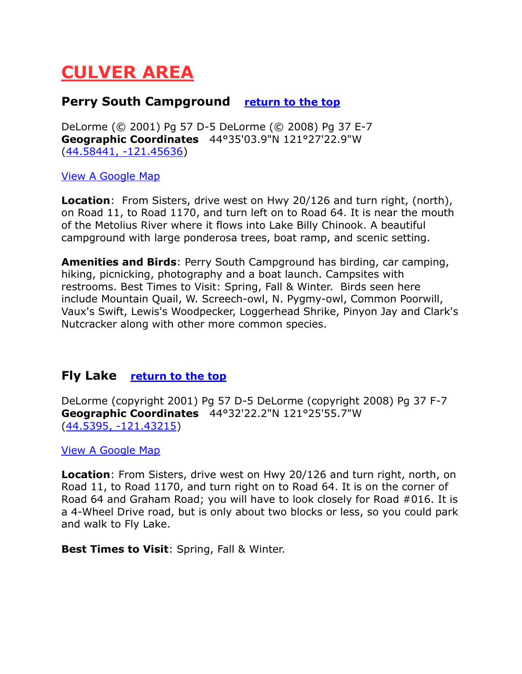# <span id="page-8-0"></span>**CULVER AREA**

#### <span id="page-8-1"></span>**Perry South Campground [return to the top](#page-0-0)**

DeLorme (© 2001) Pg 57 D-5 DeLorme (© 2008) Pg 37 E-7 **Geographic Coordinates** 44°35'03.9"N 121°27'22.9"W [\(44.58441, -121.45636\)](https://www.google.com/maps/place/44°35)

#### [View A Google Map](https://drive.google.com/open?id=1idW9Ui6xgmXNhT_oLAZDIhXh3y4&usp=sharing)

**Location**: From Sisters, drive west on Hwy 20/126 and turn right, (north), on Road 11, to Road 1170, and turn left on to Road 64. It is near the mouth of the Metolius River where it flows into Lake Billy Chinook. A beautiful campground with large ponderosa trees, boat ramp, and scenic setting.

**Amenities and Birds**: Perry South Campground has birding, car camping, hiking, picnicking, photography and a boat launch. Campsites with restrooms. Best Times to Visit: Spring, Fall & Winter. Birds seen here include Mountain Quail, W. Screech-owl, N. Pygmy-owl, Common Poorwill, Vaux's Swift, Lewis's Woodpecker, Loggerhead Shrike, Pinyon Jay and Clark's Nutcracker along with other more common species.

#### <span id="page-8-2"></span>**Fly Lake [return to the top](#page-0-0)**

DeLorme (copyright 2001) Pg 57 D-5 DeLorme (copyright 2008) Pg 37 F-7 **Geographic Coordinates** 44°32'22.2"N 121°25'55.7"W [\(44.5395, -121.43215\)](https://www.google.com/maps/place/44°32)

[View A Google Map](https://drive.google.com/open?id=1idW9Ui6xgmXNhT_oLAZDIhXh3y4&usp=sharing)

**Location**: From Sisters, drive west on Hwy 20/126 and turn right, north, on Road 11, to Road 1170, and turn right on to Road 64. It is on the corner of Road 64 and Graham Road; you will have to look closely for Road #016. It is a 4-Wheel Drive road, but is only about two blocks or less, so you could park and walk to Fly Lake.

**Best Times to Visit**: Spring, Fall & Winter.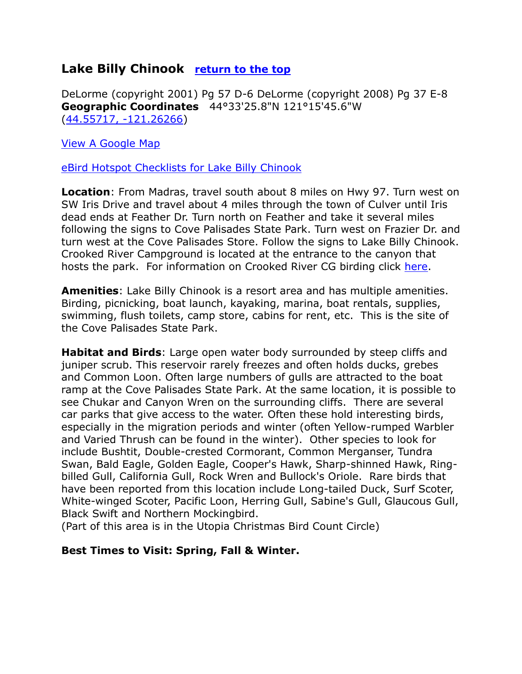# <span id="page-9-0"></span>**Lake Billy Chinook [return to the top](#page-0-0)**

DeLorme (copyright 2001) Pg 57 D-6 DeLorme (copyright 2008) Pg 37 E-8 **Geographic Coordinates** 44°33'25.8"N 121°15'45.6"W [\(44.55717, -121.26266\)](https://www.google.com/maps/place/44°33)

[View A Google Map](https://drive.google.com/open?id=1idW9Ui6xgmXNhT_oLAZDIhXh3y4&usp=sharing)

[eBird Hotspot Checklists for Lake Billy Chinook](http://ebird.org/ebird/hotspot/L349688)

**Location**: From Madras, travel south about 8 miles on Hwy 97. Turn west on SW Iris Drive and travel about 4 miles through the town of Culver until Iris dead ends at Feather Dr. Turn north on Feather and take it several miles following the signs to Cove Palisades State Park. Turn west on Frazier Dr. and turn west at the Cove Palisades Store. Follow the signs to Lake Billy Chinook. Crooked River Campground is located at the entrance to the canyon that hosts the park. For information on Crooked River CG birding click [here.](http://oregonstateparks.org/index.cfm?do=parkPage.dsp_parkPage&parkId=24)

**Amenities**: Lake Billy Chinook is a resort area and has multiple amenities. Birding, picnicking, boat launch, kayaking, marina, boat rentals, supplies, swimming, flush toilets, camp store, cabins for rent, etc. This is the site of the Cove Palisades State Park.

**Habitat and Birds**: Large open water body surrounded by steep cliffs and juniper scrub. This reservoir rarely freezes and often holds ducks, grebes and Common Loon. Often large numbers of gulls are attracted to the boat ramp at the Cove Palisades State Park. At the same location, it is possible to see Chukar and Canyon Wren on the surrounding cliffs. There are several car parks that give access to the water. Often these hold interesting birds, especially in the migration periods and winter (often Yellow-rumped Warbler and Varied Thrush can be found in the winter). Other species to look for include Bushtit, Double-crested Cormorant, Common Merganser, Tundra Swan, Bald Eagle, Golden Eagle, Cooper's Hawk, Sharp-shinned Hawk, Ringbilled Gull, California Gull, Rock Wren and Bullock's Oriole. Rare birds that have been reported from this location include Long-tailed Duck, Surf Scoter, White-winged Scoter, Pacific Loon, Herring Gull, Sabine's Gull, Glaucous Gull, Black Swift and Northern Mockingbird.

(Part of this area is in the Utopia Christmas Bird Count Circle)

#### **Best Times to Visit: Spring, Fall & Winter.**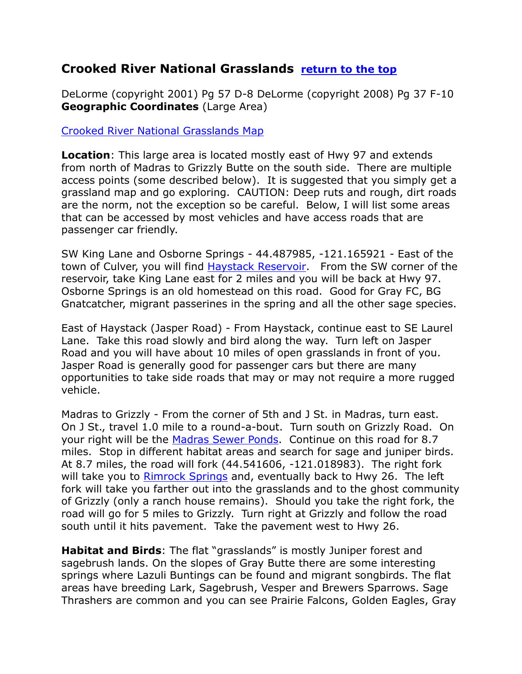# <span id="page-10-0"></span>**Crooked River National Grasslands [return to the top](#page-0-0)**

DeLorme (copyright 2001) Pg 57 D-8 DeLorme (copyright 2008) Pg 37 F-10 **Geographic Coordinates** (Large Area)

[Crooked River National Grasslands Map](http://www.onthebanksofsaltcreek.com/wp-content/uploads/2015/03/Crooked-River-Map.jpg)

**Location**: This large area is located mostly east of Hwy 97 and extends from north of Madras to Grizzly Butte on the south side. There are multiple access points (some described below). It is suggested that you simply get a grassland map and go exploring. CAUTION: Deep ruts and rough, dirt roads are the norm, not the exception so be careful. Below, I will list some areas that can be accessed by most vehicles and have access roads that are passenger car friendly.

SW King Lane and Osborne Springs - 44.487985, -121.165921 - East of the town of Culver, you will find Haystack Reservoir. From the SW corner of the reservoir, take King Lane east for 2 miles and you will be back at Hwy 97. Osborne Springs is an old homestead on this road. Good for Gray FC, BG Gnatcatcher, migrant passerines in the spring and all the other sage species.

East of Haystack (Jasper Road) - From Haystack, continue east to SE Laurel Lane. Take this road slowly and bird along the way. Turn left on Jasper Road and you will have about 10 miles of open grasslands in front of you. Jasper Road is generally good for passenger cars but there are many opportunities to take side roads that may or may not require a more rugged vehicle.

Madras to Grizzly - From the corner of 5th and J St. in Madras, turn east. On J St., travel 1.0 mile to a round-a-bout. Turn south on Grizzly Road. On your right will be the Madras Sewer Ponds. Continue on this road for 8.7 miles. Stop in different habitat areas and search for sage and juniper birds. At 8.7 miles, the road will fork (44.541606, -121.018983). The right fork will take you to Rimrock Springs and, eventually back to Hwy 26. The left fork will take you farther out into the grasslands and to the ghost community of Grizzly (only a ranch house remains). Should you take the right fork, the road will go for 5 miles to Grizzly. Turn right at Grizzly and follow the road south until it hits pavement. Take the pavement west to Hwy 26.

**Habitat and Birds**: The flat "grasslands" is mostly Juniper forest and sagebrush lands. On the slopes of Gray Butte there are some interesting springs where Lazuli Buntings can be found and migrant songbirds. The flat areas have breeding Lark, Sagebrush, Vesper and Brewers Sparrows. Sage Thrashers are common and you can see Prairie Falcons, Golden Eagles, Gray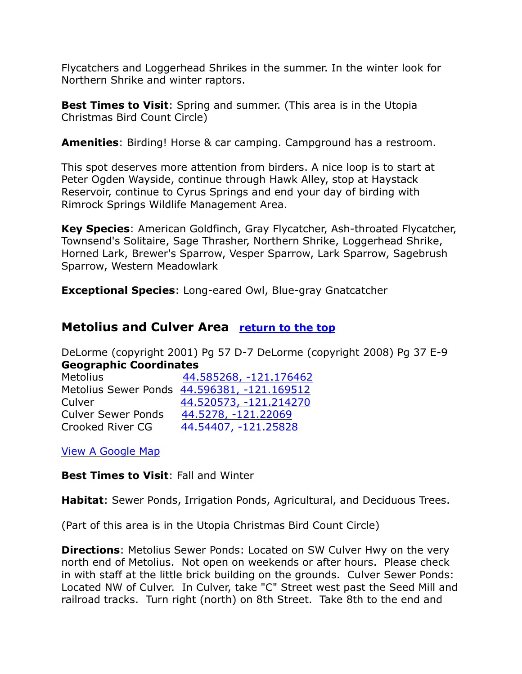Flycatchers and Loggerhead Shrikes in the summer. In the winter look for Northern Shrike and winter raptors.

**Best Times to Visit:** Spring and summer. (This area is in the Utopia Christmas Bird Count Circle)

**Amenities**: Birding! Horse & car camping. Campground has a restroom.

This spot deserves more attention from birders. A nice loop is to start at Peter Ogden Wayside, continue through Hawk Alley, stop at Haystack Reservoir, continue to Cyrus Springs and end your day of birding with Rimrock Springs Wildlife Management Area.

**Key Species**: American Goldfinch, Gray Flycatcher, Ash-throated Flycatcher, Townsend's Solitaire, Sage Thrasher, Northern Shrike, Loggerhead Shrike, Horned Lark, Brewer's Sparrow, Vesper Sparrow, Lark Sparrow, Sagebrush Sparrow, Western Meadowlark

**Exceptional Species**: Long-eared Owl, Blue-gray Gnatcatcher

#### <span id="page-11-0"></span>**Metolius and Culver Area [return to the top](#page-0-0)**

DeLorme (copyright 2001) Pg 57 D-7 DeLorme (copyright 2008) Pg 37 E-9 **Geographic Coordinates**

| <b>Metolius</b>           | 44.585268, -121.176462                      |
|---------------------------|---------------------------------------------|
|                           | Metolius Sewer Ponds 44.596381, -121.169512 |
| Culver                    | 44.520573, -121.214270                      |
| <b>Culver Sewer Ponds</b> | 44.5278, -121.22069                         |
| Crooked River CG          | 44.54407, -121.25828                        |

[View A Google Map](https://drive.google.com/open?id=1idW9Ui6xgmXNhT_oLAZDIhXh3y4&usp=sharing)

**Best Times to Visit**: Fall and Winter

**Habitat**: Sewer Ponds, Irrigation Ponds, Agricultural, and Deciduous Trees.

(Part of this area is in the Utopia Christmas Bird Count Circle)

**Directions**: Metolius Sewer Ponds: Located on SW Culver Hwy on the very north end of Metolius. Not open on weekends or after hours. Please check in with staff at the little brick building on the grounds. Culver Sewer Ponds: Located NW of Culver. In Culver, take "C" Street west past the Seed Mill and railroad tracks. Turn right (north) on 8th Street. Take 8th to the end and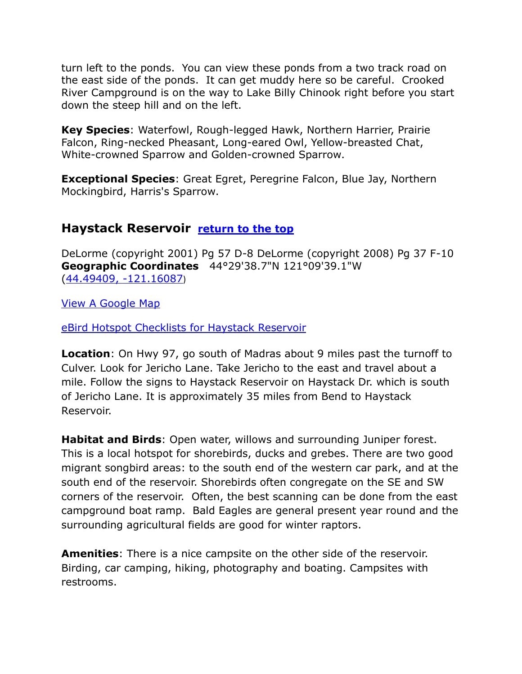turn left to the ponds. You can view these ponds from a two track road on the east side of the ponds. It can get muddy here so be careful. Crooked River Campground is on the way to Lake Billy Chinook right before you start down the steep hill and on the left.

**Key Species**: Waterfowl, Rough-legged Hawk, Northern Harrier, Prairie Falcon, Ring-necked Pheasant, Long-eared Owl, Yellow-breasted Chat, White-crowned Sparrow and Golden-crowned Sparrow.

**Exceptional Species**: Great Egret, Peregrine Falcon, Blue Jay, Northern Mockingbird, Harris's Sparrow.

# <span id="page-12-0"></span>**Haystack Reservoir [return to the top](#page-0-0)**

DeLorme (copyright 2001) Pg 57 D-8 DeLorme (copyright 2008) Pg 37 F-10 **Geographic Coordinates** 44°29'38.7"N 121°09'39.1"W [\(44.49409, -121.16087](https://www.google.com/maps/place/44°29))

[View A Google Map](https://drive.google.com/open?id=1idW9Ui6xgmXNhT_oLAZDIhXh3y4&usp=sharing)

[eBird Hotspot Checklists for Haystack Reservoir](http://ebird.org/ebird/hotspot/L687479)

**Location**: On Hwy 97, go south of Madras about 9 miles past the turnoff to Culver. Look for Jericho Lane. Take Jericho to the east and travel about a mile. Follow the signs to Haystack Reservoir on Haystack Dr. which is south of Jericho Lane. It is approximately 35 miles from Bend to Haystack Reservoir.

**Habitat and Birds**: Open water, willows and surrounding Juniper forest. This is a local hotspot for shorebirds, ducks and grebes. There are two good migrant songbird areas: to the south end of the western car park, and at the south end of the reservoir. Shorebirds often congregate on the SE and SW corners of the reservoir. Often, the best scanning can be done from the east campground boat ramp. Bald Eagles are general present year round and the surrounding agricultural fields are good for winter raptors.

**Amenities**: There is a nice campsite on the other side of the reservoir. Birding, car camping, hiking, photography and boating. Campsites with restrooms.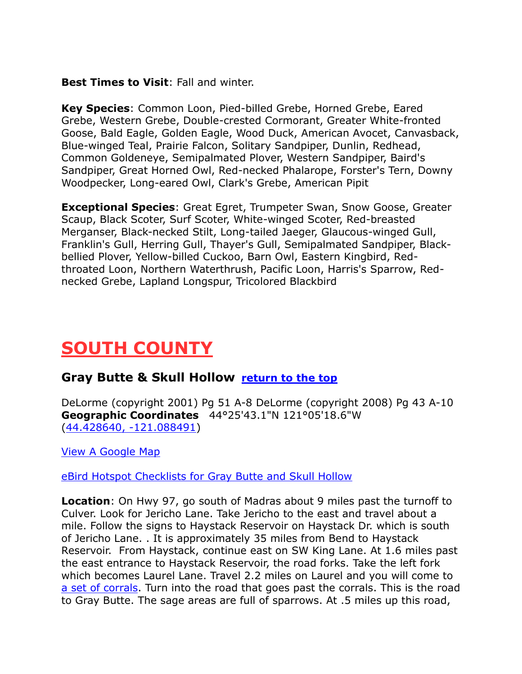#### **Best Times to Visit**: Fall and winter.

**Key Species**: Common Loon, Pied-billed Grebe, Horned Grebe, Eared Grebe, Western Grebe, Double-crested Cormorant, Greater White-fronted Goose, Bald Eagle, Golden Eagle, Wood Duck, American Avocet, Canvasback, Blue-winged Teal, Prairie Falcon, Solitary Sandpiper, Dunlin, Redhead, Common Goldeneye, Semipalmated Plover, Western Sandpiper, Baird's Sandpiper, Great Horned Owl, Red-necked Phalarope, Forster's Tern, Downy Woodpecker, Long-eared Owl, Clark's Grebe, American Pipit

**Exceptional Species**: Great Egret, Trumpeter Swan, Snow Goose, Greater Scaup, Black Scoter, Surf Scoter, White-winged Scoter, Red-breasted Merganser, Black-necked Stilt, Long-tailed Jaeger, Glaucous-winged Gull, Franklin's Gull, Herring Gull, Thayer's Gull, Semipalmated Sandpiper, Blackbellied Plover, Yellow-billed Cuckoo, Barn Owl, Eastern Kingbird, Redthroated Loon, Northern Waterthrush, Pacific Loon, Harris's Sparrow, Rednecked Grebe, Lapland Longspur, Tricolored Blackbird

# <span id="page-13-0"></span>**SOUTH COUNTY**

#### <span id="page-13-1"></span>**Gray Butte & Skull Hollow [return to the top](#page-0-0)**

DeLorme (copyright 2001) Pg 51 A-8 DeLorme (copyright 2008) Pg 43 A-10 **Geographic Coordinates** 44°25'43.1"N 121°05'18.6"W [\(44.428640, -121.088491\)](https://www.google.com/maps/place/44°25)

[View A Google Map](https://drive.google.com/open?id=1idW9Ui6xgmXNhT_oLAZDIhXh3y4&usp=sharing)

[eBird Hotspot Checklists for Gray Butte and Skull Hollow](http://ebird.org/ebird/hotspot/L1172373)

**Location**: On Hwy 97, go south of Madras about 9 miles past the turnoff to Culver. Look for Jericho Lane. Take Jericho to the east and travel about a mile. Follow the signs to Haystack Reservoir on Haystack Dr. which is south of Jericho Lane. . It is approximately 35 miles from Bend to Haystack Reservoir. From Haystack, continue east on SW King Lane. At 1.6 miles past the east entrance to Haystack Reservoir, the road forks. Take the left fork which becomes Laurel Lane. Travel 2.2 miles on Laurel and you will come to [a set of corrals.](../Paste%20Upgrade/44.462356,%20-121.080572) Turn into the road that goes past the corrals. This is the road to Gray Butte. The sage areas are full of sparrows. At .5 miles up this road,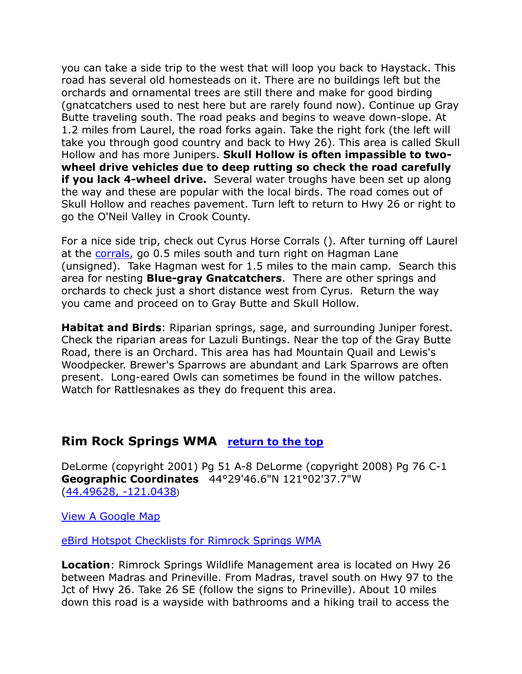you can take a side trip to the west that will loop you back to Haystack. This road has several old homesteads on it. There are no buildings left but the orchards and ornamental trees are still there and make for good birding (gnatcatchers used to nest here but are rarely found now). Continue up Gray Butte traveling south. The road peaks and begins to weave down-slope. At 1.2 miles from Laurel, the road forks again. Take the right fork (the left will take you through good country and back to Hwy 26). This area is called Skull Hollow and has more Junipers. **Skull Hollow is often impassible to twowheel drive vehicles due to deep rutting so check the road carefully if you lack 4-wheel drive.** Several water troughs have been set up along the way and these are popular with the local birds. The road comes out of Skull Hollow and reaches pavement. Turn left to return to Hwy 26 or right to go the O'Neil Valley in Crook County.

For a nice side trip, check out Cyrus Horse Corrals (). After turning off Laurel at the [corrals,](https://www.google.com/maps/place/44°27) go 0.5 miles south and turn right on Hagman Lane (unsigned). Take Hagman west for 1.5 miles to the main camp. Search this area for nesting **Blue-gray Gnatcatchers**. There are other springs and orchards to check just a short distance west from Cyrus. Return the way you came and proceed on to Gray Butte and Skull Hollow.

**Habitat and Birds**: Riparian springs, sage, and surrounding Juniper forest. Check the riparian areas for Lazuli Buntings. Near the top of the Gray Butte Road, there is an Orchard. This area has had Mountain Quail and Lewis's Woodpecker. Brewer's Sparrows are abundant and Lark Sparrows are often present. Long-eared Owls can sometimes be found in the willow patches. Watch for Rattlesnakes as they do frequent this area.

#### <span id="page-14-0"></span>**Rim Rock Springs WMA [return to the top](#page-0-0)**

DeLorme (copyright 2001) Pg 51 A-8 DeLorme (copyright 2008) Pg 76 C-1 **Geographic Coordinates** 44°29'46.6"N 121°02'37.7"W [\(44.49628, -121.0438](https://www.google.com/maps/place/44°29))

[View A Google Map](https://drive.google.com/open?id=1idW9Ui6xgmXNhT_oLAZDIhXh3y4&usp=sharing)

[eBird Hotspot Checklists for Rimrock Springs WMA](http://ebird.org/ebird/hotspot/L586741)

**Location**: Rimrock Springs Wildlife Management area is located on Hwy 26 between Madras and Prineville. From Madras, travel south on Hwy 97 to the Jct of Hwy 26. Take 26 SE (follow the signs to Prineville). About 10 miles down this road is a wayside with bathrooms and a hiking trail to access the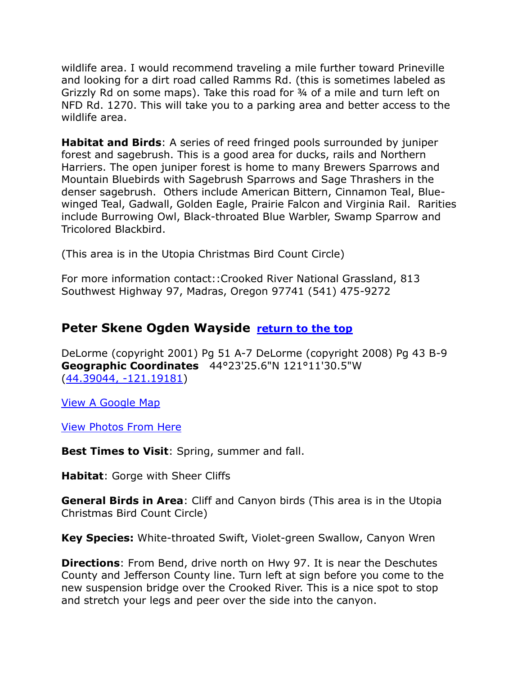wildlife area. I would recommend traveling a mile further toward Prineville and looking for a dirt road called Ramms Rd. (this is sometimes labeled as Grizzly Rd on some maps). Take this road for ¾ of a mile and turn left on NFD Rd. 1270. This will take you to a parking area and better access to the wildlife area.

**Habitat and Birds**: A series of reed fringed pools surrounded by juniper forest and sagebrush. This is a good area for ducks, rails and Northern Harriers. The open juniper forest is home to many Brewers Sparrows and Mountain Bluebirds with Sagebrush Sparrows and Sage Thrashers in the denser sagebrush. Others include American Bittern, Cinnamon Teal, Bluewinged Teal, Gadwall, Golden Eagle, Prairie Falcon and Virginia Rail. Rarities include Burrowing Owl, Black-throated Blue Warbler, Swamp Sparrow and Tricolored Blackbird.

(This area is in the Utopia Christmas Bird Count Circle)

For more information contact::Crooked River National Grassland, 813 Southwest Highway 97, Madras, Oregon 97741 (541) 475-9272

# <span id="page-15-0"></span>**Peter Skene Ogden Wayside [return to the top](#page-0-0)**

DeLorme (copyright 2001) Pg 51 A-7 DeLorme (copyright 2008) Pg 43 B-9 **Geographic Coordinates** 44°23'25.6"N 121°11'30.5"W [\(44.39044, -121.19181\)](https://www.google.com/maps/place/44°23)

[View A Google Map](http://maps.google.com/maps/ms?hl=en&ie=UTF8&msa=0&msid=108036481085398338899.0004633cab38f37c5f5e8&ll=44.542771,-121.176796&spn=0.207746,0.527344&z=12http://)

[View Photos From Here](http://oregonstateparks.org/index.cfm?do=parkPage.dsp_parkPubs&parkId=35)

**Best Times to Visit**: Spring, summer and fall.

**Habitat**: Gorge with Sheer Cliffs

**General Birds in Area**: Cliff and Canyon birds (This area is in the Utopia Christmas Bird Count Circle)

**Key Species:** White-throated Swift, Violet-green Swallow, Canyon Wren

**Directions**: From Bend, drive north on Hwy 97. It is near the Deschutes County and Jefferson County line. Turn left at sign before you come to the new suspension bridge over the Crooked River. This is a nice spot to stop and stretch your legs and peer over the side into the canyon.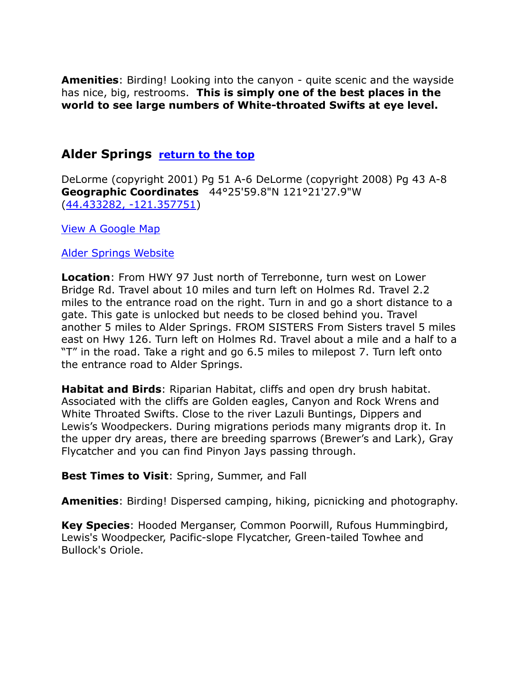**Amenities**: Birding! Looking into the canyon - quite scenic and the wayside has nice, big, restrooms. **This is simply one of the best places in the world to see large numbers of White-throated Swifts at eye level.**

#### <span id="page-16-0"></span>**Alder Springs [return to the top](#page-0-0)**

DeLorme (copyright 2001) Pg 51 A-6 DeLorme (copyright 2008) Pg 43 A-8 **Geographic Coordinates** 44°25'59.8"N 121°21'27.9"W [\(44.433282, -121.357751\)](https://www.google.com/maps/place/44°25)

[View A Google Map](http://maps.google.com/maps/ms?hl=en&ie=UTF8&msa=0&msid=108036481085398338899.0004633f330c2781dd9e7&ll=44.391108,-121.283226&spn=0.104143,0.263672&z=13http://) 

#### [Alder Springs Website](http://www.fs.usda.gov/wps/portal/fsinternet/!ut/p/c4/04_SB8K8xLLM9MSSzPy8xBz9CP0os3gDfxMDT8MwRydLA1cj72BTJw8jAwjQL8h2VAQAzHJMsQ!!?ss=110601&ttype=recarea&recid=38276&actid=50&navtype=BROWSEBYSUBJECT&position=BROWSEBYSUBJECT&navid=110160000000000&pnavid=11)

**Location**: From HWY 97 Just north of Terrebonne, turn west on Lower Bridge Rd. Travel about 10 miles and turn left on Holmes Rd. Travel 2.2 miles to the entrance road on the right. Turn in and go a short distance to a gate. This gate is unlocked but needs to be closed behind you. Travel another 5 miles to Alder Springs. FROM SISTERS From Sisters travel 5 miles east on Hwy 126. Turn left on Holmes Rd. Travel about a mile and a half to a "T" in the road. Take a right and go 6.5 miles to milepost 7. Turn left onto the entrance road to Alder Springs.

**Habitat and Birds**: Riparian Habitat, cliffs and open dry brush habitat. Associated with the cliffs are Golden eagles, Canyon and Rock Wrens and White Throated Swifts. Close to the river Lazuli Buntings, Dippers and Lewis's Woodpeckers. During migrations periods many migrants drop it. In the upper dry areas, there are breeding sparrows (Brewer's and Lark), Gray Flycatcher and you can find Pinyon Jays passing through.

#### **Best Times to Visit**: Spring, Summer, and Fall

**Amenities**: Birding! Dispersed camping, hiking, picnicking and photography.

**Key Species**: Hooded Merganser, Common Poorwill, Rufous Hummingbird, Lewis's Woodpecker, Pacific-slope Flycatcher, Green-tailed Towhee and Bullock's Oriole.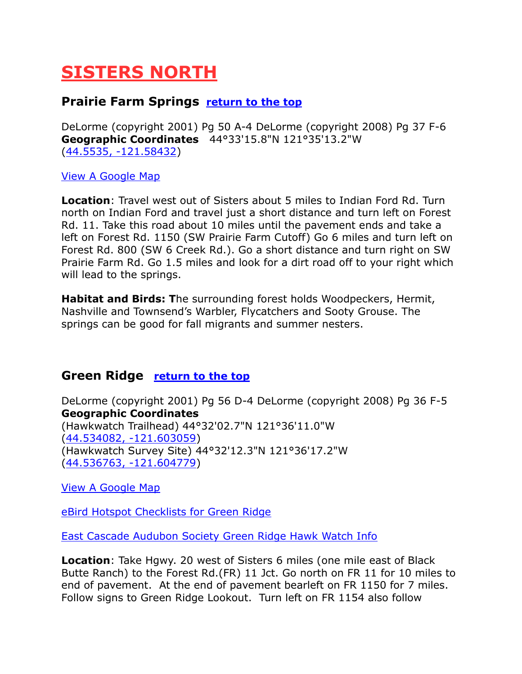# <span id="page-17-0"></span>**SISTERS NORTH**

# <span id="page-17-1"></span>**Prairie Farm Springs <u>[return to the top](#page-0-0)</u>**

DeLorme (copyright 2001) Pg 50 A-4 DeLorme (copyright 2008) Pg 37 F-6 **Geographic Coordinates** 44°33'15.8"N 121°35'13.2"W [\(44.5535, -121.58432\)](https://www.google.com/maps/place/44°33)

[View A Google Map](http://maps.google.com/maps/ms?hl=en&ie=UTF8&msa=0&msid=108036481085398338899.0004635367b2f1d65cf97&z=11http://)

**Location**: Travel west out of Sisters about 5 miles to Indian Ford Rd. Turn north on Indian Ford and travel just a short distance and turn left on Forest Rd. 11. Take this road about 10 miles until the pavement ends and take a left on Forest Rd. 1150 (SW Prairie Farm Cutoff) Go 6 miles and turn left on Forest Rd. 800 (SW 6 Creek Rd.). Go a short distance and turn right on SW Prairie Farm Rd. Go 1.5 miles and look for a dirt road off to your right which will lead to the springs.

**Habitat and Birds: T**he surrounding forest holds Woodpeckers, Hermit, Nashville and Townsend's Warbler, Flycatchers and Sooty Grouse. The springs can be good for fall migrants and summer nesters.

#### <span id="page-17-2"></span>**Green Ridge [return to the top](#page-0-0)**

DeLorme (copyright 2001) Pg 56 D-4 DeLorme (copyright 2008) Pg 36 F-5 **Geographic Coordinates** (Hawkwatch Trailhead) 44°32'02.7"N 121°36'11.0"W [\(44.534082, -121.603059\)](https://www.google.com/maps/place/44°32) (Hawkwatch Survey Site) 44°32'12.3"N 121°36'17.2"W [\(44.536763, -121.604779\)](https://www.google.com/maps/place/44°32)

[View A Google Map](https://drive.google.com/open?id=1OXaqWEBZxdJh4HBr4XMd5xcV0FM&usp=sharing)

[eBird Hotspot Checklists for Green Ridge](http://ebird.org/ebird/hotspot/L1772266)

[East Cascade Audubon Society Green Ridge Hawk Watch Info](http://www.ecaudubon.org/green-ridge---raptor-migration)

**Location**: Take Hgwy. 20 west of Sisters 6 miles (one mile east of Black Butte Ranch) to the Forest Rd.(FR) 11 Jct. Go north on FR 11 for 10 miles to end of pavement. At the end of pavement bearleft on FR 1150 for 7 miles. Follow signs to Green Ridge Lookout. Turn left on FR 1154 also follow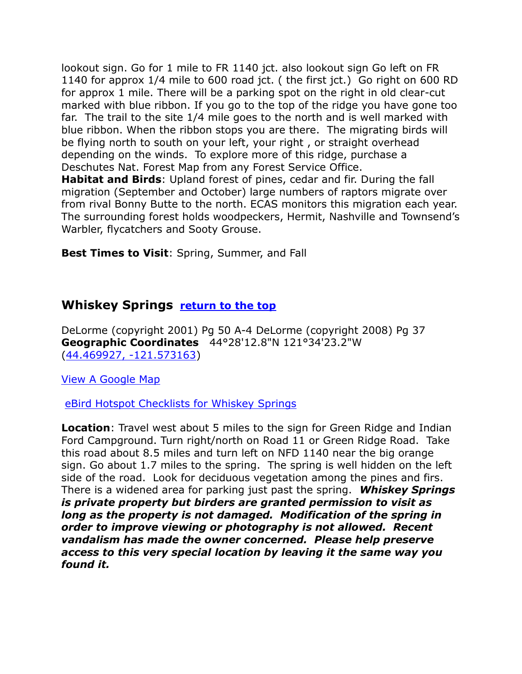lookout sign. Go for 1 mile to FR 1140 jct. also lookout sign Go left on FR 1140 for approx 1/4 mile to 600 road jct. ( the first jct.) Go right on 600 RD for approx 1 mile. There will be a parking spot on the right in old clear-cut marked with blue ribbon. If you go to the top of the ridge you have gone too far. The trail to the site 1/4 mile goes to the north and is well marked with blue ribbon. When the ribbon stops you are there. The migrating birds will be flying north to south on your left, your right , or straight overhead depending on the winds. To explore more of this ridge, purchase a Deschutes Nat. Forest Map from any Forest Service Office. **Habitat and Birds**: Upland forest of pines, cedar and fir. During the fall migration (September and October) large numbers of raptors migrate over from rival Bonny Butte to the north. ECAS monitors this migration each year. The surrounding forest holds woodpeckers, Hermit, Nashville and Townsend's Warbler, flycatchers and Sooty Grouse.

**Best Times to Visit**: Spring, Summer, and Fall

#### **Whiskey Springs [return to the top](#page-0-0)**

DeLorme (copyright 2001) Pg 50 A-4 DeLorme (copyright 2008) Pg 37 **Geographic Coordinates** 44°28'12.8"N 121°34'23.2"W [\(44.469927, -121.573163\)](https://www.google.com/maps/place/44°28)

[View A Google Map](https://drive.google.com/open?id=1OXaqWEBZxdJh4HBr4XMd5xcV0FM&usp=sharing)

[eBird Hotspot Checklists for Whiskey Springs](http://ebird.org/ebird/hotspot/L1230188)

**Location**: Travel west about 5 miles to the sign for Green Ridge and Indian Ford Campground. Turn right/north on Road 11 or Green Ridge Road. Take this road about 8.5 miles and turn left on NFD 1140 near the big orange sign. Go about 1.7 miles to the spring. The spring is well hidden on the left side of the road. Look for deciduous vegetation among the pines and firs. There is a widened area for parking just past the spring. *Whiskey Springs is private property but birders are granted permission to visit as long as the property is not damaged. Modification of the spring in order to improve viewing or photography is not allowed. Recent vandalism has made the owner concerned. Please help preserve access to this very special location by leaving it the same way you found it.*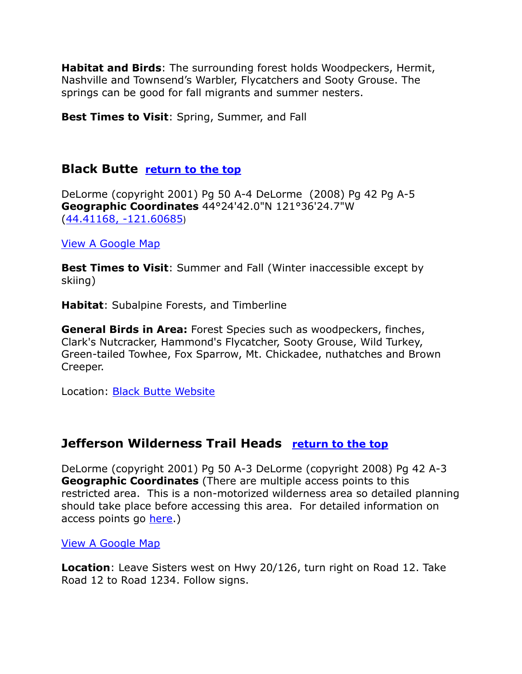**Habitat and Birds**: The surrounding forest holds Woodpeckers, Hermit, Nashville and Townsend's Warbler, Flycatchers and Sooty Grouse. The springs can be good for fall migrants and summer nesters.

**Best Times to Visit**: Spring, Summer, and Fall

# <span id="page-19-0"></span>**Black Butte [return to the top](#page-0-0)**

DeLorme (copyright 2001) Pg 50 A-4 DeLorme (2008) Pg 42 Pg A-5 **Geographic Coordinates** 44°24'42.0"N 121°36'24.7"W [\(44.41168, -121.60685](https://www.google.com/maps/place/44°24))

#### [View A Google Map](http://maps.google.com/maps/ms?hl=en&doflg=ptm&ie=UTF8&msa=0&msid=108036481085398338899.00046f3d246a4539a3c80&ll=44.355524,-121.496773&spn=0.187302,0.528374&z=12http://)

**Best Times to Visit:** Summer and Fall (Winter inaccessible except by skiing)

**Habitat**: Subalpine Forests, and Timberline

**General Birds in Area:** Forest Species such as woodpeckers, finches, Clark's Nutcracker, Hammond's Flycatcher, Sooty Grouse, Wild Turkey, Green-tailed Towhee, Fox Sparrow, Mt. Chickadee, nuthatches and Brown Creeper.

Location: [Black Butte Website](http://www.summitpost.org/mountain/rock/151142/black-butte-oregon.html)

# <span id="page-19-1"></span>**Jefferson Wilderness Trail Heads [return to the top](#page-0-0)**

DeLorme (copyright 2001) Pg 50 A-3 DeLorme (copyright 2008) Pg 42 A-3 **Geographic Coordinates** (There are multiple access points to this restricted area. This is a non-motorized wilderness area so detailed planning should take place before accessing this area. For detailed information on access points go [here.](http://www.fs.usda.gov/wps/portal/fsinternet/!ut/p/c5/04_SB8K8xLLM9MSSzPy8xBz9CP0os3gDfxMDT8MwRydLA1cj72BTJw8jAwgAykeaxcN4jhYG_h4eYX5hPgYweSJ0G-AAjoR0h4Nci992sAm4zffzyM9N1S_IDY0wyDJRBABZRw4s/dl3/d3/L2dJQSEvUUt3QS9ZQnZ3LzZfMjAwMDAwMDBBODBPSEhWTk1VMTAwMDAwMD))

#### [View A Google Map](http://maps.google.com/maps/ms?hl=en&ie=UTF8&msa=0&msid=108036481085398338899.000463753ae4e737ff6a1&ll=44.746002,-121.982231&spn=0.401849,1.054688&z=11http://)

**Location**: Leave Sisters west on Hwy 20/126, turn right on Road 12. Take Road 12 to Road 1234. Follow signs.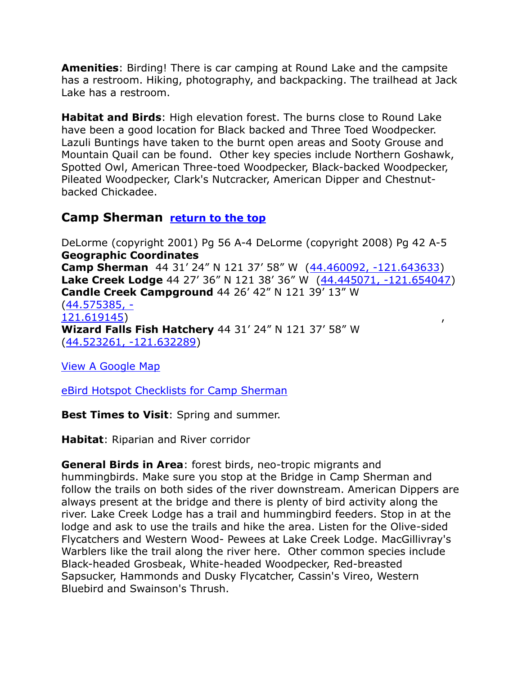**Amenities**: Birding! There is car camping at Round Lake and the campsite has a restroom. Hiking, photography, and backpacking. The trailhead at Jack Lake has a restroom.

**Habitat and Birds**: High elevation forest. The burns close to Round Lake have been a good location for Black backed and Three Toed Woodpecker. Lazuli Buntings have taken to the burnt open areas and Sooty Grouse and Mountain Quail can be found. Other key species include Northern Goshawk, Spotted Owl, American Three-toed Woodpecker, Black-backed Woodpecker, Pileated Woodpecker, Clark's Nutcracker, American Dipper and Chestnutbacked Chickadee.

#### <span id="page-20-0"></span>**Camp Sherman [return to the top](#page-0-0)**

DeLorme (copyright 2001) Pg 56 A-4 DeLorme (copyright 2008) Pg 42 A-5 **Geographic Coordinates Camp Sherman** 44 31' 24" N 121 37' 58" W ([44.460092, -121.643633\)](https://www.google.com/maps/place/44°27) **Lake Creek Lodge** 44 27' 36" N 121 38' 36" W ([44.445071, -121.654047\)](https://www.google.com/maps/place/44°26) **Candle Creek Campground** 44 26' 42" N 121 39' 13" W [\(44.575385, -](https://www.google.com/maps/place/44°34) [121.619145\)](https://www.google.com/maps/place/44°34) , **Wizard Falls Fish Hatchery** 44 31' 24" N 121 37' 58" W [\(44.523261, -121.632289\)](https://www.google.com/maps/place/44°31)

[View A Google Map](http://maps.google.com/maps/ms?hl=en&ie=UTF8&msa=0&msid=108036481085398338899.0004635c407a03204039a&z=13http://)

[eBird Hotspot Checklists for Camp Sherman](http://ebird.org/ebird/hotspot/L1659867)

**Best Times to Visit**: Spring and summer.

**Habitat**: Riparian and River corridor

**General Birds in Area**: forest birds, neo-tropic migrants and hummingbirds. Make sure you stop at the Bridge in Camp Sherman and follow the trails on both sides of the river downstream. American Dippers are always present at the bridge and there is plenty of bird activity along the river. Lake Creek Lodge has a trail and hummingbird feeders. Stop in at the lodge and ask to use the trails and hike the area. Listen for the Olive-sided Flycatchers and Western Wood- Pewees at Lake Creek Lodge. MacGillivray's Warblers like the trail along the river here. Other common species include Black-headed Grosbeak, White-headed Woodpecker, Red-breasted Sapsucker, Hammonds and Dusky Flycatcher, Cassin's Vireo, Western Bluebird and Swainson's Thrush.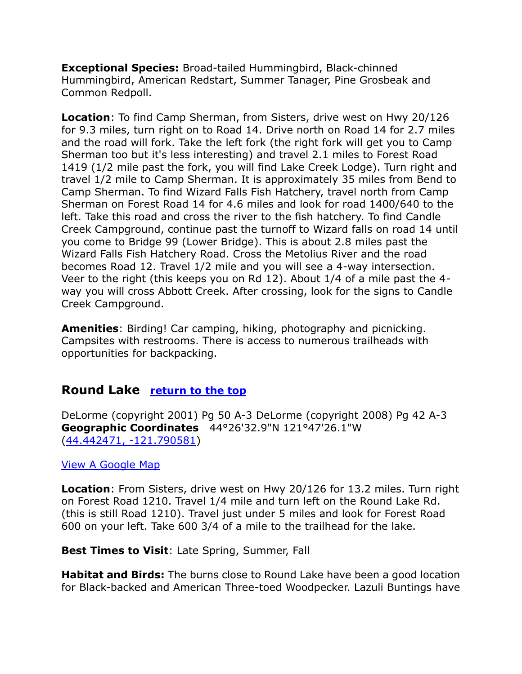**Exceptional Species:** Broad-tailed Hummingbird, Black-chinned Hummingbird, American Redstart, Summer Tanager, Pine Grosbeak and Common Redpoll.

**Location**: To find Camp Sherman, from Sisters, drive west on Hwy 20/126 for 9.3 miles, turn right on to Road 14. Drive north on Road 14 for 2.7 miles and the road will fork. Take the left fork (the right fork will get you to Camp Sherman too but it's less interesting) and travel 2.1 miles to Forest Road 1419 (1/2 mile past the fork, you will find Lake Creek Lodge). Turn right and travel 1/2 mile to Camp Sherman. It is approximately 35 miles from Bend to Camp Sherman. To find Wizard Falls Fish Hatchery, travel north from Camp Sherman on Forest Road 14 for 4.6 miles and look for road 1400/640 to the left. Take this road and cross the river to the fish hatchery. To find Candle Creek Campground, continue past the turnoff to Wizard falls on road 14 until you come to Bridge 99 (Lower Bridge). This is about 2.8 miles past the Wizard Falls Fish Hatchery Road. Cross the Metolius River and the road becomes Road 12. Travel 1/2 mile and you will see a 4-way intersection. Veer to the right (this keeps you on Rd 12). About 1/4 of a mile past the 4 way you will cross Abbott Creek. After crossing, look for the signs to Candle Creek Campground.

**Amenities**: Birding! Car camping, hiking, photography and picnicking. Campsites with restrooms. There is access to numerous trailheads with opportunities for backpacking.

#### <span id="page-21-0"></span>**Round Lake [return to the top](#page-0-0)**

DeLorme (copyright 2001) Pg 50 A-3 DeLorme (copyright 2008) Pg 42 A-3 **Geographic Coordinates** 44°26'32.9"N 121°47'26.1"W [\(44.442471, -121.790581\)](https://www.google.com/maps/place/44°26)

#### [View A Google Map](http://maps.google.com/maps/ms?hl=en&ie=UTF8&msa=0&msid=108036481085398338899.0004635c407a03204039a&z=13http://)

**Location**: From Sisters, drive west on Hwy 20/126 for 13.2 miles. Turn right on Forest Road 1210. Travel 1/4 mile and turn left on the Round Lake Rd. (this is still Road 1210). Travel just under 5 miles and look for Forest Road 600 on your left. Take 600 3/4 of a mile to the trailhead for the lake.

#### **Best Times to Visit**: Late Spring, Summer, Fall

**Habitat and Birds:** The burns close to Round Lake have been a good location for Black-backed and American Three-toed Woodpecker. Lazuli Buntings have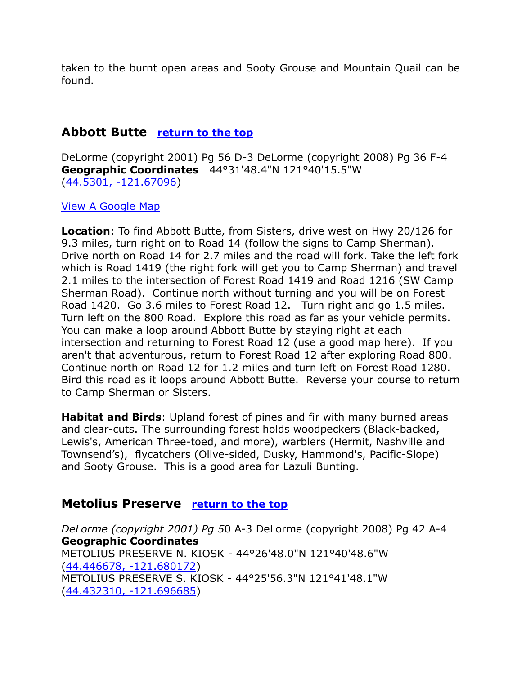taken to the burnt open areas and Sooty Grouse and Mountain Quail can be found.

# <span id="page-22-0"></span>**Abbott Butte [return to the top](#page-0-0)**

DeLorme (copyright 2001) Pg 56 D-3 DeLorme (copyright 2008) Pg 36 F-4 **Geographic Coordinates** 44°31'48.4"N 121°40'15.5"W [\(44.5301, -121.67096\)](https://www.google.com/maps/place/44°31)

#### [View A Google Map](http://maps.google.com/maps/ms?hl=en&ie=UTF8&msa=0&msid=108036481085398338899.0004635367b2f1d65cf97&z=11http://)

**Location**: To find Abbott Butte, from Sisters, drive west on Hwy 20/126 for 9.3 miles, turn right on to Road 14 (follow the signs to Camp Sherman). Drive north on Road 14 for 2.7 miles and the road will fork. Take the left fork which is Road 1419 (the right fork will get you to Camp Sherman) and travel 2.1 miles to the intersection of Forest Road 1419 and Road 1216 (SW Camp Sherman Road). Continue north without turning and you will be on Forest Road 1420. Go 3.6 miles to Forest Road 12. Turn right and go 1.5 miles. Turn left on the 800 Road. Explore this road as far as your vehicle permits. You can make a loop around Abbott Butte by staying right at each intersection and returning to Forest Road 12 (use a good map here). If you aren't that adventurous, return to Forest Road 12 after exploring Road 800. Continue north on Road 12 for 1.2 miles and turn left on Forest Road 1280. Bird this road as it loops around Abbott Butte. Reverse your course to return to Camp Sherman or Sisters.

**Habitat and Birds**: Upland forest of pines and fir with many burned areas and clear-cuts. The surrounding forest holds woodpeckers (Black-backed, Lewis's, American Three-toed, and more), warblers (Hermit, Nashville and Townsend's), flycatchers (Olive-sided, Dusky, Hammond's, Pacific-Slope) and Sooty Grouse. This is a good area for Lazuli Bunting.

#### <span id="page-22-1"></span>**Metolius Preserve [return to the top](#page-0-0)**

*DeLorme (copyright 2001) Pg 5*0 A-3 DeLorme (copyright 2008) Pg 42 A-4 **Geographic Coordinates**  METOLIUS PRESERVE N. KIOSK - 44°26'48.0"N 121°40'48.6"W [\(44.446678, -121.680172\)](https://www.google.com/maps/place/44°26) METOLIUS PRESERVE S. KIOSK - 44°25'56.3"N 121°41'48.1"W [\(44.432310, -121.696685\)](https://www.google.com/maps/place/44°25)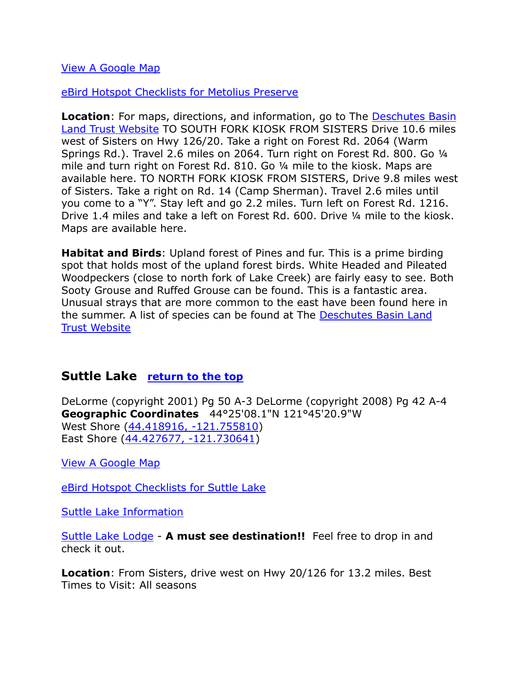[View A Google Map](http://maps.google.com/maps/ms?hl=en&ie=UTF8&msa=0&msid=108036481085398338899.0004635c407a03204039a&z=13http://)

[eBird Hotspot Checklists for Metolius Preserve](http://ebird.org/ebird/hotspot/L892507)

**Location:** For maps, directions, and information, go to The Deschutes Basin [Land Trust Website](http://www.deschuteslandtrust.org/) TO SOUTH FORK KIOSK FROM SISTERS Drive 10.6 miles west of Sisters on Hwy 126/20. Take a right on Forest Rd. 2064 (Warm Springs Rd.). Travel 2.6 miles on 2064. Turn right on Forest Rd. 800. Go ¼ mile and turn right on Forest Rd. 810. Go ¼ mile to the kiosk. Maps are available here. TO NORTH FORK KIOSK FROM SISTERS, Drive 9.8 miles west of Sisters. Take a right on Rd. 14 (Camp Sherman). Travel 2.6 miles until you come to a "Y". Stay left and go 2.2 miles. Turn left on Forest Rd. 1216. Drive 1.4 miles and take a left on Forest Rd. 600. Drive ¼ mile to the kiosk. Maps are available here.

**Habitat and Birds**: Upland forest of Pines and fur. This is a prime birding spot that holds most of the upland forest birds. White Headed and Pileated Woodpeckers (close to north fork of Lake Creek) are fairly easy to see. Both Sooty Grouse and Ruffed Grouse can be found. This is a fantastic area. Unusual strays that are more common to the east have been found here in the summer. A list of species can be found at The [Deschutes Basin Land](http://www.deschuteslandtrust.org/)  [Trust Website](http://www.deschuteslandtrust.org/)

#### <span id="page-23-0"></span>**Suttle Lake [return to the top](#page-0-0)**

DeLorme (copyright 2001) Pg 50 A-3 DeLorme (copyright 2008) Pg 42 A-4 **Geographic Coordinates** 44°25'08.1"N 121°45'20.9"W West Shore [\(44.418916, -121.755810\)](https://www.google.com/maps/place/44°25) East Shore [\(44.427677, -121.730641\)](https://www.google.com/maps/place/44°25)

[View A Google Map](http://maps.google.com/maps/ms?hl=en&ie=UTF8&msa=0&msid=108036481085398338899.0004635c407a03204039a&z=13http://)

[eBird Hotspot Checklists for Suttle Lake](http://ebird.org/ebird/hotspot/L1161099)

[Suttle Lake Information](https://en.wikipedia.org/wiki/Suttle_Lake_(Oregon))

[Suttle Lake Lodge](http://www.thesuttlelodge.com/) - **A must see destination!!** Feel free to drop in and check it out.

**Location**: From Sisters, drive west on Hwy 20/126 for 13.2 miles. Best Times to Visit: All seasons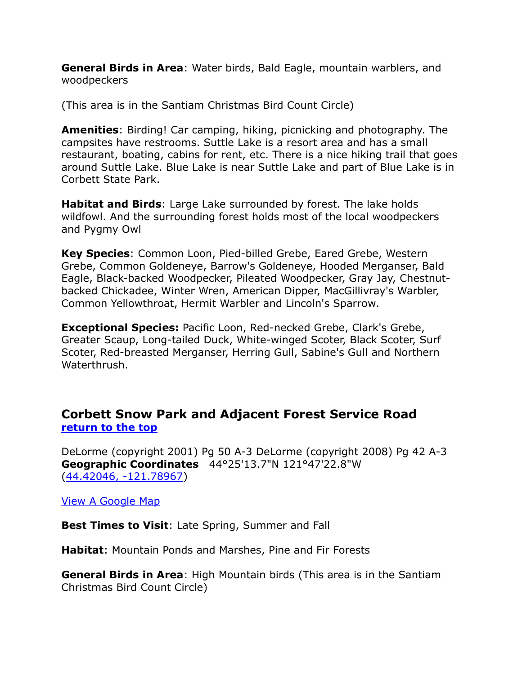**General Birds in Area**: Water birds, Bald Eagle, mountain warblers, and woodpeckers

(This area is in the Santiam Christmas Bird Count Circle)

**Amenities**: Birding! Car camping, hiking, picnicking and photography. The campsites have restrooms. Suttle Lake is a resort area and has a small restaurant, boating, cabins for rent, etc. There is a nice hiking trail that goes around Suttle Lake. Blue Lake is near Suttle Lake and part of Blue Lake is in Corbett State Park.

**Habitat and Birds**: Large Lake surrounded by forest. The lake holds wildfowl. And the surrounding forest holds most of the local woodpeckers and Pygmy Owl

**Key Species**: Common Loon, Pied-billed Grebe, Eared Grebe, Western Grebe, Common Goldeneye, Barrow's Goldeneye, Hooded Merganser, Bald Eagle, Black-backed Woodpecker, Pileated Woodpecker, Gray Jay, Chestnutbacked Chickadee, Winter Wren, American Dipper, MacGillivray's Warbler, Common Yellowthroat, Hermit Warbler and Lincoln's Sparrow.

**Exceptional Species:** Pacific Loon, Red-necked Grebe, Clark's Grebe, Greater Scaup, Long-tailed Duck, White-winged Scoter, Black Scoter, Surf Scoter, Red-breasted Merganser, Herring Gull, Sabine's Gull and Northern Waterthrush.

#### <span id="page-24-0"></span>**Corbett Snow Park and Adjacent Forest Service Road [return to the top](#page-0-0)**

DeLorme (copyright 2001) Pg 50 A-3 DeLorme (copyright 2008) Pg 42 A-3 **Geographic Coordinates** 44°25'13.7"N 121°47'22.8"W [\(44.42046, -121.78967\)](https://www.google.com/maps/place/44°25)

[View A Google Map](https://drive.google.com/open?id=1JVmF8UG4TLKD9NJhZIJ-0Y-iWrw&usp=sharing)

**Best Times to Visit**: Late Spring, Summer and Fall

**Habitat**: Mountain Ponds and Marshes, Pine and Fir Forests

**General Birds in Area**: High Mountain birds (This area is in the Santiam Christmas Bird Count Circle)